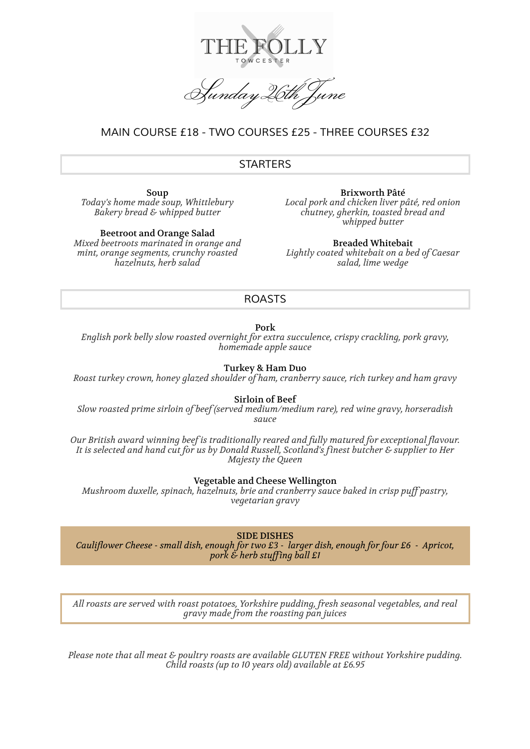

Sunday 26th

# *MAIN COURSE £18 - TWO COURSES £25 - THREE COURSES £32*

## *STARTERS*

Soup *Today's home made soup, Whittlebury Bakery bread & whipped butter*

Beetroot and Orange Salad *Mixed beetroots marinated in orange and mint, orange segments, crunchy roasted hazelnuts, herb salad*

Brixworth Pâté *Local pork and chicken liver pâté, red onion chutney, gherkin, toasted bread and whipped butter*

Breaded Whitebait *Lightly coated whitebait on a bed of Caesar salad, lime wedge*

### *ROASTS*

Pork

*English pork belly slow roasted overnight for extra succulence, crispy crackling, pork gravy, homemade apple sauce*

Turkey & Ham Duo

*Roast turkey crown, honey glazed shoulder of ham, cranberry sauce, rich turkey and ham gravy*

Sirloin of Beef

*Slow roasted prime sirloin of beef (served medium/medium rare), red wine gravy, horseradish sauce*

*Our British award winning beef is traditionally reared and fully matured for exceptional flavour. It is selected and hand cut for us by Donald Russell, Scotland's finest butcher & supplier to Her Majesty the Queen*

Vegetable and Cheese Wellington

*Mushroom duxelle, spinach, hazelnuts, brie and cranberry sauce baked in crisp puff pastry, vegetarian gravy*

SIDE DISHES

*Cauliflower Cheese - small dish, enough for two £3 - larger dish, enough for four £6 - Apricot, pork & herb stuffing ball £1*

*All roasts are served with roast potatoes, Yorkshire pudding, fresh seasonal vegetables, and real gravy made from the roasting pan juices*

*Please note that all meat & poultry roasts are available GLUTEN FREE without Yorkshire pudding. Child roasts (up to 10 years old) available at £6.95*